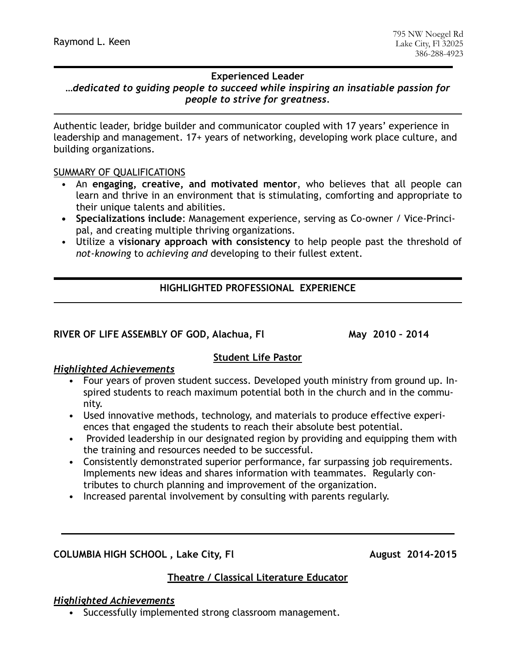### **Experienced Leader**

*…dedicated to guiding people to succeed while inspiring an insatiable passion for people to strive for greatness.*

Authentic leader, bridge builder and communicator coupled with 17 years' experience in leadership and management. 17+ years of networking, developing work place culture, and building organizations.

#### SUMMARY OF QUALIFICATIONS

- An **engaging, creative, and motivated mentor**, who believes that all people can learn and thrive in an environment that is stimulating, comforting and appropriate to their unique talents and abilities.
- **• Specializations include**: Management experience, serving as Co-owner / Vice-Principal, and creating multiple thriving organizations.
- Utilize a **visionary approach with consistency** to help people past the threshold of *not-knowing* to *achieving and* developing to their fullest extent.

## **HIGHLIGHTED PROFESSIONAL EXPERIENCE**

#### **RIVER OF LIFE ASSEMBLY OF GOD, Alachua, Fl May 2010 – 2014**

#### **Student Life Pastor**

## *Highlighted Achievements*

- Four years of proven student success. Developed youth ministry from ground up. Inspired students to reach maximum potential both in the church and in the community.
- Used innovative methods, technology, and materials to produce effective experiences that engaged the students to reach their absolute best potential.
- Provided leadership in our designated region by providing and equipping them with the training and resources needed to be successful.
- Consistently demonstrated superior performance, far surpassing job requirements. Implements new ideas and shares information with teammates. Regularly contributes to church planning and improvement of the organization.
- Increased parental involvement by consulting with parents regularly.

## **COLUMBIA HIGH SCHOOL , Lake City, Fl August 2014-2015**

## **Theatre / Classical Literature Educator**

#### *Highlighted Achievements*

• Successfully implemented strong classroom management.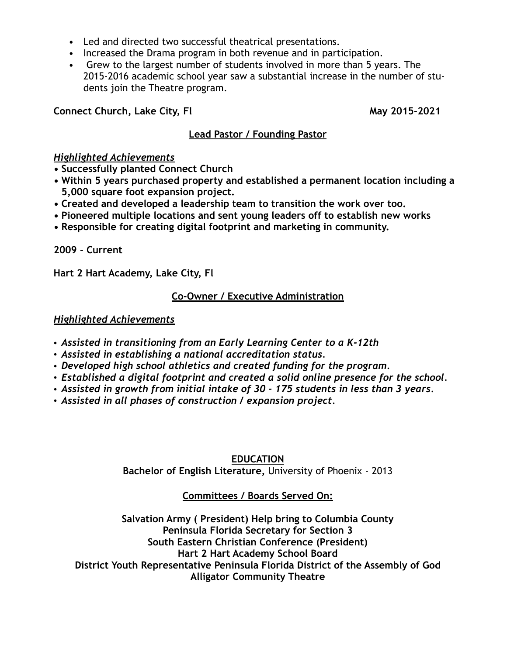- Led and directed two successful theatrical presentations.
- Increased the Drama program in both revenue and in participation.
- Grew to the largest number of students involved in more than 5 years. The 2015-2016 academic school year saw a substantial increase in the number of students join the Theatre program.

**Connect Church, Lake City, Fl** May 2015-2021

# **Lead Pastor / Founding Pastor**

## *Highlighted Achievements*

- **• Successfully planted Connect Church**
- **• Within 5 years purchased property and established a permanent location including a 5,000 square foot expansion project.**
- **• Created and developed a leadership team to transition the work over too.**
- **• Pioneered multiple locations and sent young leaders off to establish new works**
- **• Responsible for creating digital footprint and marketing in community.**

**2009 - Current**

**Hart 2 Hart Academy, Lake City, Fl** 

# **Co-Owner / Executive Administration**

# *Highlighted Achievements*

- *Assisted in transitioning from an Early Learning Center to a K-12th*
- *Assisted in establishing a national accreditation status.*
- *Developed high school athletics and created funding for the program.*
- *Established a digital footprint and created a solid online presence for the school.*
- *Assisted in growth from initial intake of 30 175 students in less than 3 years.*
- *Assisted in all phases of construction / expansion project.*

# **EDUCATION**

**Bachelor of English Literature,** University of Phoenix - 2013

# **Committees / Boards Served On:**

**Salvation Army ( President) Help bring to Columbia County Peninsula Florida Secretary for Section 3 South Eastern Christian Conference (President) Hart 2 Hart Academy School Board District Youth Representative Peninsula Florida District of the Assembly of God Alligator Community Theatre**